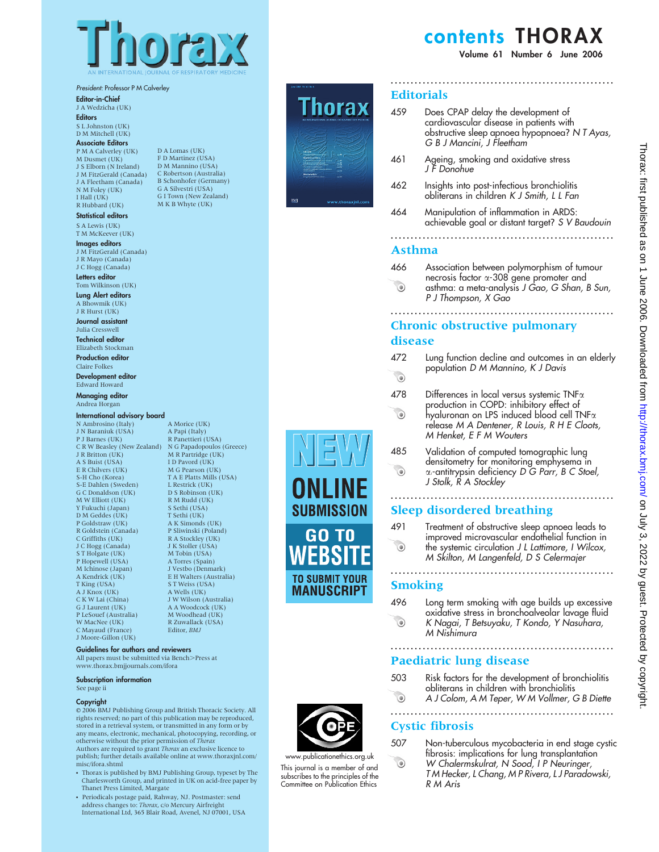

### President: Professor P M Calverley

Editor-in-Chief

J A Wedzicha (UK) **Editors** 

S L Johnston (UK) D M Mitchell (UK)

### Associate Editors

P M A Calverley (UK) M Dusmet (UK) J S Elborn (N Ireland) J M FitzGerald (Canada) J A Fleetham (Canada) N M Foley (UK) I Hall (UK) R Hubbard (UK)

### Statistical editors

S A Lewis (UK) T M McKeever (UK)

Images editors J M FitzGerald (Canada) J R Mayo (Canada) J C Hogg (Canada)

# Letters editor

Tom Wilkinson (UK) Lung Alert editors A Bhowmik (UK)

J R Hurst (UK) Journal assistant

Julia Cresswell Technical editor Elizabeth Stockman

Production editor Claire Folkes

Development editor Edward Howard

Managing editor Andrea Horgan

### International advisory board

N Ambrosino (Italy) J N Baraniuk (USA) P J Barnes (UK) C R W Beasley (New Zealand) J R Britton (UK) A S Buist (USA) E R Chilvers (UK) S-H Cho (Korea) S-E Dahlen (Sweden) G C Donaldson (UK) M W Elliott (UK) Y Fukuchi (Japan) D M Geddes (UK) P Goldstraw (UK) R Goldstein (Canada) C Griffiths (UK) J C Hogg (Canada) S T Holgate (UK) P Hopewell (USA) M Ichinose (Japan) A Kendrick (UK) T King (USA) A J Knox (UK) C K W Lai (China) G J Laurent (UK) P LeSouef (Australia) W MacNee (UK) C Mayaud (France) J Moore-Gillon (UK)

### Guidelines for authors and reviewers

All papers must be submitted via Bench>Press at www.thorax.bmjjournals.com/ifora

Subscription information

#### See page ii

#### **Copyright**

E 2006 BMJ Publishing Group and British Thoracic Society. All rights reserved; no part of this publication may be reproduced, stored in a retrieval system, or transmitted in any form or by any means, electronic, mechanical, photocopying, recording, or otherwise without the prior permission of *Thorax* Authors are required to grant Thorax an exclusive licence to publish; further details available online at www.thoraxjnl.com/ misc/ifora.shtml

- Thorax is published by BMJ Publishing Group, typeset by The Charlesworth Group, and printed in UK on acid-free paper by Thanet Press Limited, Margate
- Periodicals postage paid, Rahway, NJ. Postmaster: send address changes to: Thorax, c/o Mercury Airfreight International Ltd, 365 Blair Road, Avenel, NJ 07001, USA

D A Lomas (UK) F D Martinez (USA) D M Mannino (USA) C Robertson (Australia) B Schonhofer (Germany) G A Silvestri (USA) G I Town (New Zealand) M K B Whyte (UK)

> A Morice (UK) A Papi (Italy) R Panettieri (USA) N G Papadopoulos (Greece) M R Partridge (UK) I D Pavord (UK) M G Pearson (UK) T A E Platts Mills (USA) L Restrick (UK) D S Robinson (UK) R M Rudd (UK) S Sethi (USA) T Sethi (UK) A K Simonds (UK) P Sliwinski (Poland) R A Stockley (UK) J K Stoller (USA) M Tobin (USA) A Torres (Spain) J Vestbo (Denmark) E H Walters (Australia) S T Weiss (USA) A Wells (UK) J W Wilson (Australia) A A Woodcock (UK) M Woodhead (UK) R Zuwallack (USA) Editor, BMJ



# G B J Mancini, J Fleetham 461 Ageing, smoking and oxidative stress J F Donohue 462 Insights into post-infectious bronchiolitis obliterans in children K J Smith, L L Fan

**Editorials** 

464 Manipulation of inflammation in ARDS: achievable goal or distant target? S V Baudouin

........................................................

cardiovascular disease in patients with obstructive sleep apnoea hypopnoea? N T Ayas,

459 Does CPAP delay the development of

# ........................................................

### Asthma

466 Association between polymorphism of tumour necrosis factor a-308 gene promoter and  $\odot$ asthma: a meta-analysis J Gao, G Shan, B Sun, P J Thompson, X Gao

........................................................

# Chronic obstructive pulmonary disease

- 472 Lung function decline and outcomes in an elderly population D M Mannino, K J Davis  $\odot$
- $478$  Differences in local versus systemic TNF $\alpha$
- production in COPD: inhibitory effect of  $\odot$  $h$ yaluronan on LPS induced bl $\rm \acute{o}$ od cell TNF $\rm \alpha$ release M A Dentener, R Louis, R H E Cloots, M Henket, E F M Wouters
- 485 Validation of computed tomographic lung densitometry for monitoring emphysema in **CO** a1-antitrypsin deficiency D G Parr, B C Stoel, J Stolk, R A Stockley

### ........................................................ Sleep disordered breathing

491 Treatment of obstructive sleep apnoea leads to improved microvascular endothelial function in  $\odot$ the systemic circulation J L Lattimore, I Wilcox, M Skilton, M Langenfeld, D S Celermajer

........................................................

### **Smoking**

496 Long term smoking with age builds up excessive oxidative stress in bronchoalveolar lavage fluid  $\bullet$ K Nagai, T Betsuyaku, T Kondo, Y Nasuhara, M Nishimura

# Paediatric lung disease

503 Risk factors for the development of bronchiolitis obliterans in children with bronchiolitis

........................................................

 $\odot$ A J Colom, A M Teper, W M Vollmer, G B Diette ........................................................

# Cystic fibrosis

 $\odot$ 

507 Non-tuberculous mycobacteria in end stage cystic fibrosis: implications for lung transplantation W Chalermskulrat, N Sood, I P Neuringer, T M Hecker, L Chang, M P Rivera, L J Paradowski, R M Aris



**SUBMISSION** 

GO TO

**TO SUBMIT YOUR MANUSCRIPT** 

www.publicationethics.org.uk This journal is a member of and subscribes to the principles of the Committee on Publication Ethics

# contents THORAX Volume 61 Number 6 June 2006